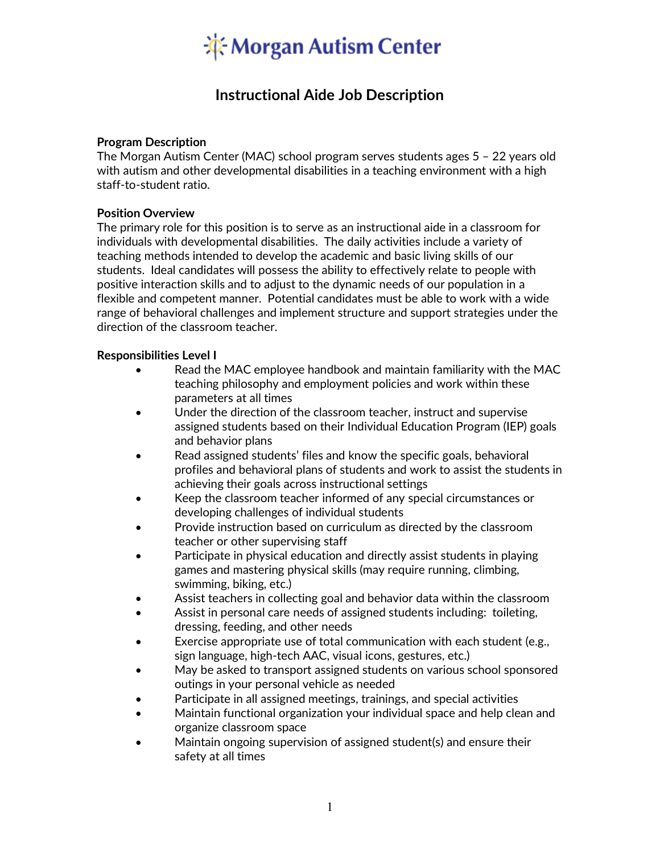

# **Instructional Aide Job Description**

### **Program Description**

The Morgan Autism Center (MAC) school program serves students ages 5 – 22 years old with autism and other developmental disabilities in a teaching environment with a high staff-to-student ratio.

### **Position Overview**

The primary role for this position is to serve as an instructional aide in a classroom for individuals with developmental disabilities. The daily activities include a variety of teaching methods intended to develop the academic and basic living skills of our students. Ideal candidates will possess the ability to effectively relate to people with positive interaction skills and to adjust to the dynamic needs of our population in a flexible and competent manner. Potential candidates must be able to work with a wide range of behavioral challenges and implement structure and support strategies under the direction of the classroom teacher.

#### **Responsibilities Level I**

- Read the MAC employee handbook and maintain familiarity with the MAC teaching philosophy and employment policies and work within these parameters at all times
- Under the direction of the classroom teacher, instruct and supervise assigned students based on their Individual Education Program (IEP) goals and behavior plans
- Read assigned students' files and know the specific goals, behavioral profiles and behavioral plans of students and work to assist the students in achieving their goals across instructional settings
- Keep the classroom teacher informed of any special circumstances or developing challenges of individual students
- Provide instruction based on curriculum as directed by the classroom teacher or other supervising staff
- Participate in physical education and directly assist students in playing games and mastering physical skills (may require running, climbing, swimming, biking, etc.)
- Assist teachers in collecting goal and behavior data within the classroom
- Assist in personal care needs of assigned students including: toileting, dressing, feeding, and other needs
- Exercise appropriate use of total communication with each student (e.g., sign language, high-tech AAC, visual icons, gestures, etc.)
- May be asked to transport assigned students on various school sponsored outings in your personal vehicle as needed
- Participate in all assigned meetings, trainings, and special activities
- Maintain functional organization your individual space and help clean and organize classroom space
- Maintain ongoing supervision of assigned student(s) and ensure their safety at all times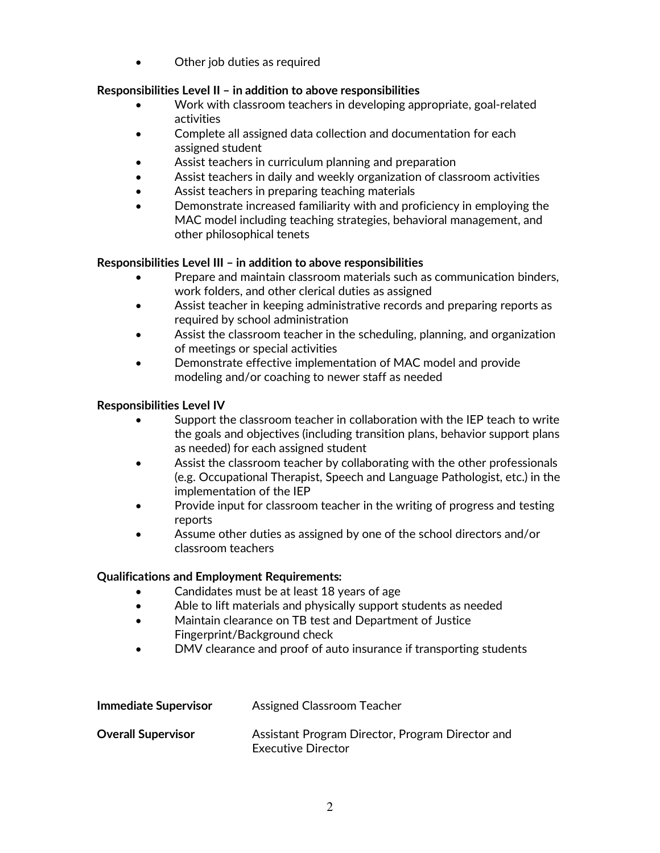• Other job duties as required

# **Responsibilities Level II – in addition to above responsibilities**

- Work with classroom teachers in developing appropriate, goal-related activities
- Complete all assigned data collection and documentation for each assigned student
- Assist teachers in curriculum planning and preparation
- Assist teachers in daily and weekly organization of classroom activities
- Assist teachers in preparing teaching materials
- Demonstrate increased familiarity with and proficiency in employing the MAC model including teaching strategies, behavioral management, and other philosophical tenets

# **Responsibilities Level III – in addition to above responsibilities**

- Prepare and maintain classroom materials such as communication binders, work folders, and other clerical duties as assigned
- Assist teacher in keeping administrative records and preparing reports as required by school administration
- Assist the classroom teacher in the scheduling, planning, and organization of meetings or special activities
- Demonstrate effective implementation of MAC model and provide modeling and/or coaching to newer staff as needed

### **Responsibilities Level IV**

- Support the classroom teacher in collaboration with the IEP teach to write the goals and objectives (including transition plans, behavior support plans as needed) for each assigned student
- Assist the classroom teacher by collaborating with the other professionals (e.g. Occupational Therapist, Speech and Language Pathologist, etc.) in the implementation of the IEP
- Provide input for classroom teacher in the writing of progress and testing reports
- Assume other duties as assigned by one of the school directors and/or classroom teachers

### **Qualifications and Employment Requirements:**

- Candidates must be at least 18 years of age
- Able to lift materials and physically support students as needed
- Maintain clearance on TB test and Department of Justice Fingerprint/Background check
- DMV clearance and proof of auto insurance if transporting students

| <b>Immediate Supervisor</b> | Assigned Classroom Teacher                                                    |
|-----------------------------|-------------------------------------------------------------------------------|
| <b>Overall Supervisor</b>   | Assistant Program Director, Program Director and<br><b>Executive Director</b> |